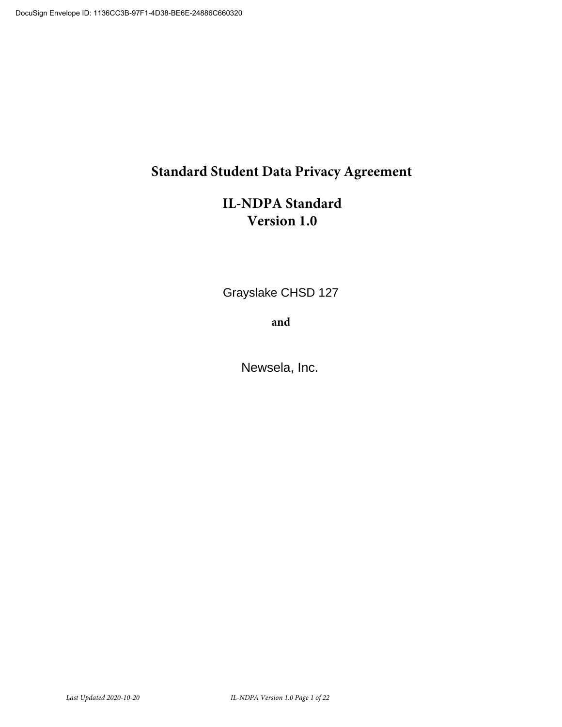# **Standard Student Data Privacy Agreement**

# **IL-NDPA Standard Version 1.0**

Grayslake CHSD 127

**and**

Newsela, Inc.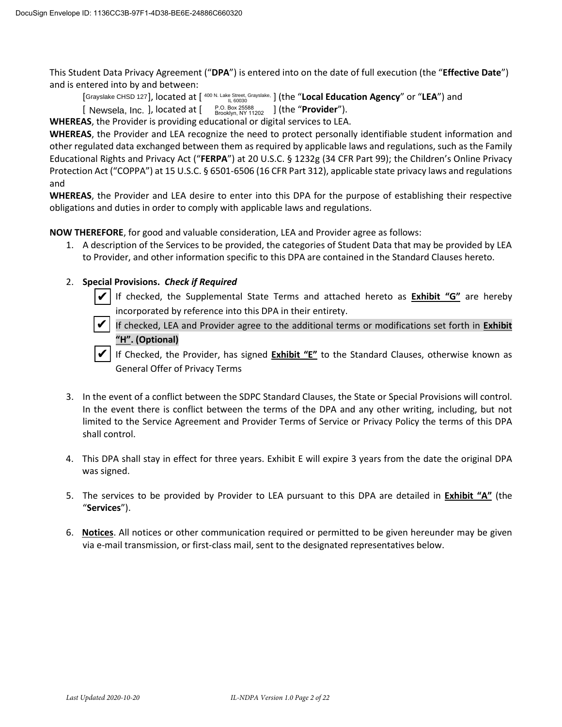This Student Data Privacy Agreement ("**DPA**") is entered into on the date of full execution (the "**Effective Date**") and is entered into by and between:

[Grayslake CHSD 127], located at [ <sup>400 N. Lake Street, Grayslake,</sup> ] (the "**Local Education Agency**" or "**LEA**") and

[ Newsela, Inc. ], located at [  $\frac{P.O. Box \ 25588}{Brocklyn, NY 11202}$  ] (the "**Provider**"). [ Newsela, Inc. ], located at [

**WHEREAS**, the Provider is providing educational or digital services to LEA.

**WHEREAS**, the Provider and LEA recognize the need to protect personally identifiable student information and other regulated data exchanged between them as required by applicable laws and regulations, such as the Family Educational Rights and Privacy Act ("**FERPA**") at 20 U.S.C. § 1232g (34 CFR Part 99); the Children's Online Privacy Protection Act ("COPPA") at 15 U.S.C. § 6501-6506 (16 CFR Part 312), applicable state privacy laws and regulations and

**WHEREAS**, the Provider and LEA desire to enter into this DPA for the purpose of establishing their respective obligations and duties in order to comply with applicable laws and regulations.

**NOW THEREFORE**, for good and valuable consideration, LEA and Provider agree as follows:

1. A description of the Services to be provided, the categories of Student Data that may be provided by LEA to Provider, and other information specific to this DPA are contained in the Standard Clauses hereto.

# 2. **Special Provisions.** *Check if Required*

 If checked, the Supplemental State Terms and attached hereto as **Exhibit "G"** are hereby incorporated by reference into this DPA in their entirety. ✔

 If checked, LEA and Provider agree to the additional terms or modifications set forth in **Exhibit "H". (Optional)** ✔

 If Checked, the Provider, has signed **Exhibit "E"** to the Standard Clauses, otherwise known as General Offer of Privacy Terms ✔

- 3. In the event of a conflict between the SDPC Standard Clauses, the State or Special Provisions will control. In the event there is conflict between the terms of the DPA and any other writing, including, but not limited to the Service Agreement and Provider Terms of Service or Privacy Policy the terms of this DPA shall control.
- 4. This DPA shall stay in effect for three years. Exhibit E will expire 3 years from the date the original DPA was signed.
- 5. The services to be provided by Provider to LEA pursuant to this DPA are detailed in **Exhibit "A"** (the "**Services**").
- 6. **Notices**. All notices or other communication required or permitted to be given hereunder may be given via e-mail transmission, or first-class mail, sent to the designated representatives below.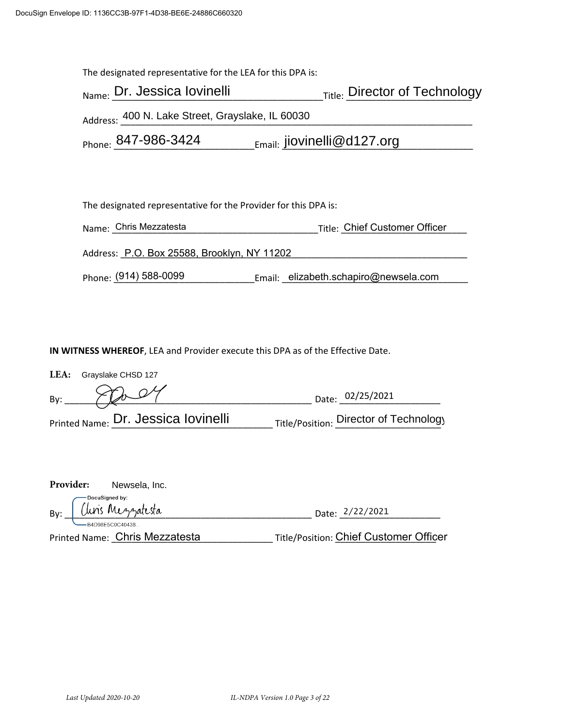| The designated representative for the LEA for this DPA is:      |                               |  |  |  |
|-----------------------------------------------------------------|-------------------------------|--|--|--|
| Name: Dr. Jessica lovinelli                                     | Title: Director of Technology |  |  |  |
| Address: 400 N. Lake Street, Grayslake, IL 60030                |                               |  |  |  |
| Phone: 847-986-3424<br>$_{Email:}$ jiovinelli@d127.org          |                               |  |  |  |
|                                                                 |                               |  |  |  |
|                                                                 |                               |  |  |  |
| The designated representative for the Provider for this DPA is: |                               |  |  |  |

Name: \_\_\_\_\_\_\_\_\_\_\_\_\_\_\_\_\_\_\_\_\_\_\_\_\_\_\_\_\_\_\_\_\_\_\_\_\_\_\_\_\_Title: \_\_\_\_\_\_\_\_\_\_\_\_\_\_\_\_\_\_\_\_\_\_\_\_\_ Chris Mezzatesta Chief Customer Officer Address: \_\_\_\_\_\_\_\_\_\_\_\_\_\_\_\_\_\_\_\_\_\_\_\_\_\_\_\_\_\_\_\_\_\_\_\_\_\_\_\_\_\_\_\_\_\_\_\_\_\_\_\_\_\_\_\_\_\_\_\_\_\_\_\_\_\_\_\_\_ P.O. Box 25588, Brooklyn, NY 11202

Phone: <u>(</u>914) 588-0099 \_\_\_\_\_\_\_\_\_\_\_\_\_\_\_\_\_\_\_\_\_\_\_Email: \_\_elizabeth.schapiro@newsela.com \_\_\_\_\_\_

**IN WITNESS WHEREOF**, LEA and Provider execute this DPA as of the Effective Date.

|     | LEA: Grayslake CHSD 127             |                                        |
|-----|-------------------------------------|----------------------------------------|
| By: | $\times T$ de $24$                  | Date: 02/25/2021                       |
|     | Printed Name: Dr. Jessica lovinelli | Title/Position: Director of Technology |

| <b>Provider:</b> | Newsela, Inc.                  |                                               |
|------------------|--------------------------------|-----------------------------------------------|
| — DocuSigned by: |                                |                                               |
|                  | By: Unis Mezzatesta            | Date: 2/22/2021                               |
|                  | -B4D98F5C0C40438               |                                               |
|                  | Printed Name: Chris Mezzatesta | <b>Title/Position: Chief Customer Officer</b> |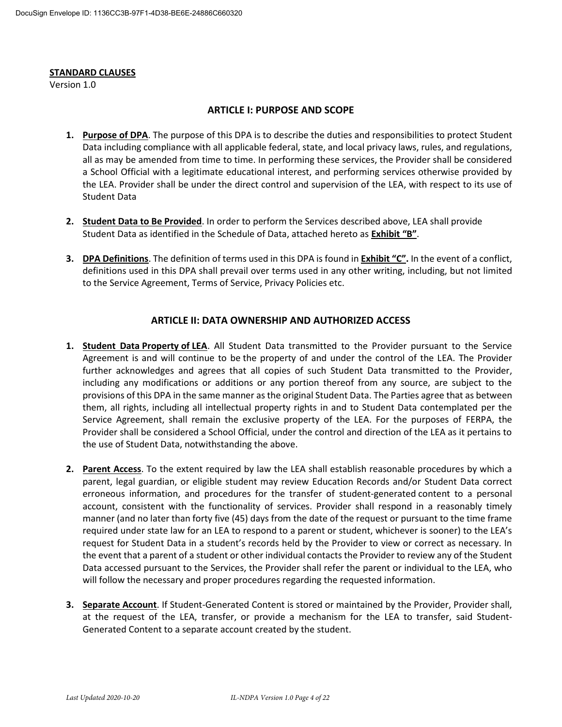#### **STANDARD CLAUSES**

Version 1.0

#### **ARTICLE I: PURPOSE AND SCOPE**

- **1. Purpose of DPA**. The purpose of this DPA is to describe the duties and responsibilities to protect Student Data including compliance with all applicable federal, state, and local privacy laws, rules, and regulations, all as may be amended from time to time. In performing these services, the Provider shall be considered a School Official with a legitimate educational interest, and performing services otherwise provided by the LEA. Provider shall be under the direct control and supervision of the LEA, with respect to its use of Student Data
- **2. Student Data to Be Provided**. In order to perform the Services described above, LEA shall provide Student Data as identified in the Schedule of Data, attached hereto as **Exhibit "B"**.
- **3. DPA Definitions**. The definition of terms used in this DPA is found in **Exhibit "C".** In the event of a conflict, definitions used in this DPA shall prevail over terms used in any other writing, including, but not limited to the Service Agreement, Terms of Service, Privacy Policies etc.

#### **ARTICLE II: DATA OWNERSHIP AND AUTHORIZED ACCESS**

- **1. Student Data Property of LEA**. All Student Data transmitted to the Provider pursuant to the Service Agreement is and will continue to be the property of and under the control of the LEA. The Provider further acknowledges and agrees that all copies of such Student Data transmitted to the Provider, including any modifications or additions or any portion thereof from any source, are subject to the provisions of this DPA in the same manner as the original Student Data. The Parties agree that as between them, all rights, including all intellectual property rights in and to Student Data contemplated per the Service Agreement, shall remain the exclusive property of the LEA. For the purposes of FERPA, the Provider shall be considered a School Official, under the control and direction of the LEA as it pertains to the use of Student Data, notwithstanding the above.
- **2. Parent Access**. To the extent required by law the LEA shall establish reasonable procedures by which a parent, legal guardian, or eligible student may review Education Records and/or Student Data correct erroneous information, and procedures for the transfer of student-generated content to a personal account, consistent with the functionality of services. Provider shall respond in a reasonably timely manner (and no later than forty five (45) days from the date of the request or pursuant to the time frame required under state law for an LEA to respond to a parent or student, whichever is sooner) to the LEA's request for Student Data in a student's records held by the Provider to view or correct as necessary. In the event that a parent of a student or other individual contacts the Provider to review any of the Student Data accessed pursuant to the Services, the Provider shall refer the parent or individual to the LEA, who will follow the necessary and proper procedures regarding the requested information.
- **3. Separate Account**. If Student-Generated Content is stored or maintained by the Provider, Provider shall, at the request of the LEA, transfer, or provide a mechanism for the LEA to transfer, said Student-Generated Content to a separate account created by the student.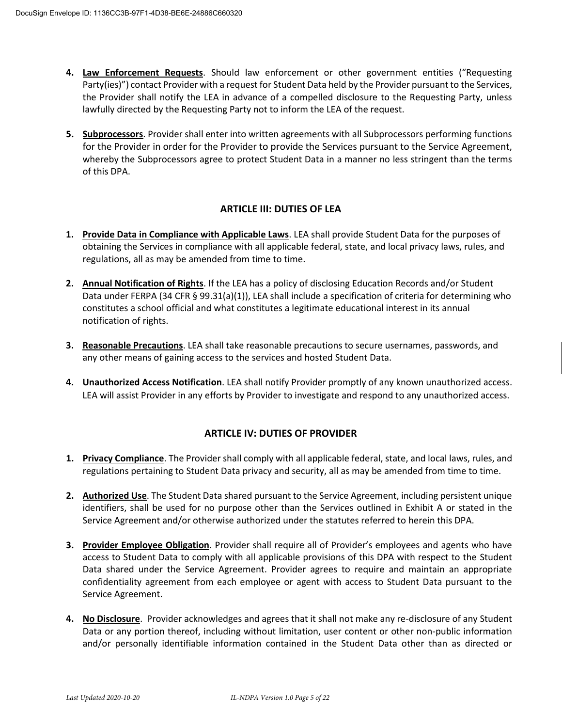- **4. Law Enforcement Requests**. Should law enforcement or other government entities ("Requesting Party(ies)") contact Provider with a request for Student Data held by the Provider pursuant to the Services, the Provider shall notify the LEA in advance of a compelled disclosure to the Requesting Party, unless lawfully directed by the Requesting Party not to inform the LEA of the request.
- **5. Subprocessors**. Provider shall enter into written agreements with all Subprocessors performing functions for the Provider in order for the Provider to provide the Services pursuant to the Service Agreement, whereby the Subprocessors agree to protect Student Data in a manner no less stringent than the terms of this DPA.

# **ARTICLE III: DUTIES OF LEA**

- **1. Provide Data in Compliance with Applicable Laws**. LEA shall provide Student Data for the purposes of obtaining the Services in compliance with all applicable federal, state, and local privacy laws, rules, and regulations, all as may be amended from time to time.
- **2. Annual Notification of Rights**. If the LEA has a policy of disclosing Education Records and/or Student Data under FERPA (34 CFR § 99.31(a)(1)), LEA shall include a specification of criteria for determining who constitutes a school official and what constitutes a legitimate educational interest in its annual notification of rights.
- **3. Reasonable Precautions**. LEA shall take reasonable precautions to secure usernames, passwords, and any other means of gaining access to the services and hosted Student Data.
- **4. Unauthorized Access Notification**. LEA shall notify Provider promptly of any known unauthorized access. LEA will assist Provider in any efforts by Provider to investigate and respond to any unauthorized access.

# **ARTICLE IV: DUTIES OF PROVIDER**

- **1. Privacy Compliance**. The Provider shall comply with all applicable federal, state, and local laws, rules, and regulations pertaining to Student Data privacy and security, all as may be amended from time to time.
- **2. Authorized Use**. The Student Data shared pursuant to the Service Agreement, including persistent unique identifiers, shall be used for no purpose other than the Services outlined in Exhibit A or stated in the Service Agreement and/or otherwise authorized under the statutes referred to herein this DPA.
- **3. Provider Employee Obligation**. Provider shall require all of Provider's employees and agents who have access to Student Data to comply with all applicable provisions of this DPA with respect to the Student Data shared under the Service Agreement. Provider agrees to require and maintain an appropriate confidentiality agreement from each employee or agent with access to Student Data pursuant to the Service Agreement.
- **4. No Disclosure**. Provider acknowledges and agrees that it shall not make any re-disclosure of any Student Data or any portion thereof, including without limitation, user content or other non-public information and/or personally identifiable information contained in the Student Data other than as directed or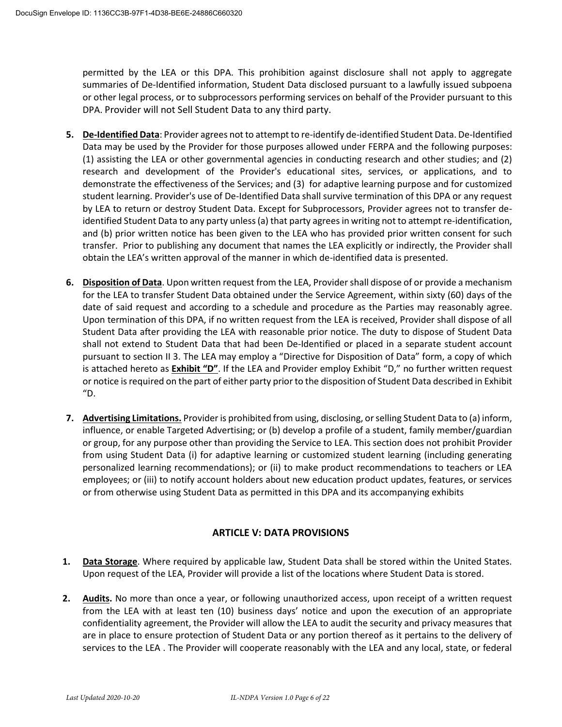permitted by the LEA or this DPA. This prohibition against disclosure shall not apply to aggregate summaries of De-Identified information, Student Data disclosed pursuant to a lawfully issued subpoena or other legal process, or to subprocessors performing services on behalf of the Provider pursuant to this DPA. Provider will not Sell Student Data to any third party.

- **5. De-Identified Data**: Provider agrees not to attempt to re-identify de-identified Student Data. De-Identified Data may be used by the Provider for those purposes allowed under FERPA and the following purposes: (1) assisting the LEA or other governmental agencies in conducting research and other studies; and (2) research and development of the Provider's educational sites, services, or applications, and to demonstrate the effectiveness of the Services; and (3) for adaptive learning purpose and for customized student learning. Provider's use of De-Identified Data shall survive termination of this DPA or any request by LEA to return or destroy Student Data. Except for Subprocessors, Provider agrees not to transfer deidentified Student Data to any party unless (a) that party agrees in writing not to attempt re-identification, and (b) prior written notice has been given to the LEA who has provided prior written consent for such transfer. Prior to publishing any document that names the LEA explicitly or indirectly, the Provider shall obtain the LEA's written approval of the manner in which de-identified data is presented.
- **6. Disposition of Data**. Upon written request from the LEA, Provider shall dispose of or provide a mechanism for the LEA to transfer Student Data obtained under the Service Agreement, within sixty (60) days of the date of said request and according to a schedule and procedure as the Parties may reasonably agree. Upon termination of this DPA, if no written request from the LEA is received, Provider shall dispose of all Student Data after providing the LEA with reasonable prior notice. The duty to dispose of Student Data shall not extend to Student Data that had been De-Identified or placed in a separate student account pursuant to section II 3. The LEA may employ a "Directive for Disposition of Data" form, a copy of which is attached hereto as **Exhibit "D"**. If the LEA and Provider employ Exhibit "D," no further written request or notice is required on the part of either party prior to the disposition of Student Data described in Exhibit "D.
- **7. Advertising Limitations.** Provider is prohibited from using, disclosing, or selling Student Data to (a) inform, influence, or enable Targeted Advertising; or (b) develop a profile of a student, family member/guardian or group, for any purpose other than providing the Service to LEA. This section does not prohibit Provider from using Student Data (i) for adaptive learning or customized student learning (including generating personalized learning recommendations); or (ii) to make product recommendations to teachers or LEA employees; or (iii) to notify account holders about new education product updates, features, or services or from otherwise using Student Data as permitted in this DPA and its accompanying exhibits

# **ARTICLE V: DATA PROVISIONS**

- **1. Data Storage**. Where required by applicable law, Student Data shall be stored within the United States. Upon request of the LEA, Provider will provide a list of the locations where Student Data is stored.
- **2. Audits.** No more than once a year, or following unauthorized access, upon receipt of a written request from the LEA with at least ten (10) business days' notice and upon the execution of an appropriate confidentiality agreement, the Provider will allow the LEA to audit the security and privacy measures that are in place to ensure protection of Student Data or any portion thereof as it pertains to the delivery of services to the LEA . The Provider will cooperate reasonably with the LEA and any local, state, or federal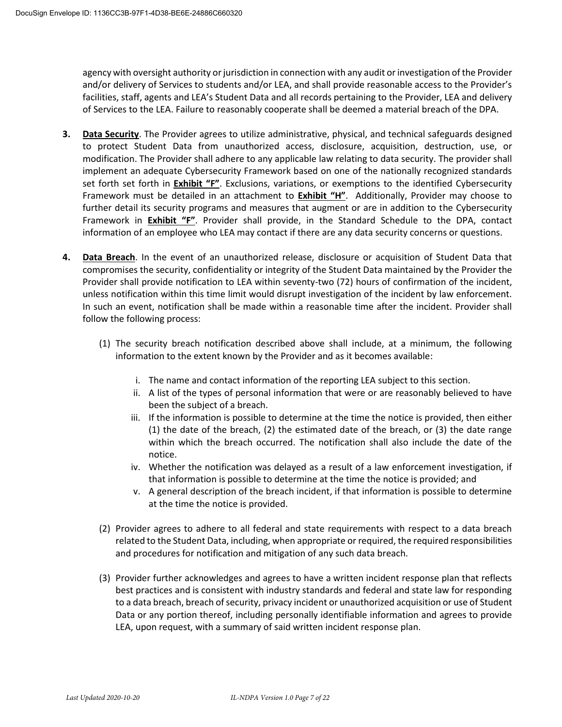agency with oversight authority or jurisdiction in connection with any audit or investigation of the Provider and/or delivery of Services to students and/or LEA, and shall provide reasonable access to the Provider's facilities, staff, agents and LEA's Student Data and all records pertaining to the Provider, LEA and delivery of Services to the LEA. Failure to reasonably cooperate shall be deemed a material breach of the DPA.

- **3. Data Security**. The Provider agrees to utilize administrative, physical, and technical safeguards designed to protect Student Data from unauthorized access, disclosure, acquisition, destruction, use, or modification. The Provider shall adhere to any applicable law relating to data security. The provider shall implement an adequate Cybersecurity Framework based on one of the nationally recognized standards set forth set forth in **Exhibit "F"**. Exclusions, variations, or exemptions to the identified Cybersecurity Framework must be detailed in an attachment to **Exhibit "H"**. Additionally, Provider may choose to further detail its security programs and measures that augment or are in addition to the Cybersecurity Framework in **Exhibit "F"**. Provider shall provide, in the Standard Schedule to the DPA, contact information of an employee who LEA may contact if there are any data security concerns or questions.
- **4. Data Breach**. In the event of an unauthorized release, disclosure or acquisition of Student Data that compromises the security, confidentiality or integrity of the Student Data maintained by the Provider the Provider shall provide notification to LEA within seventy-two (72) hours of confirmation of the incident, unless notification within this time limit would disrupt investigation of the incident by law enforcement. In such an event, notification shall be made within a reasonable time after the incident. Provider shall follow the following process:
	- (1) The security breach notification described above shall include, at a minimum, the following information to the extent known by the Provider and as it becomes available:
		- i. The name and contact information of the reporting LEA subject to this section.
		- ii. A list of the types of personal information that were or are reasonably believed to have been the subject of a breach.
		- iii. If the information is possible to determine at the time the notice is provided, then either (1) the date of the breach, (2) the estimated date of the breach, or (3) the date range within which the breach occurred. The notification shall also include the date of the notice.
		- iv. Whether the notification was delayed as a result of a law enforcement investigation, if that information is possible to determine at the time the notice is provided; and
		- v. A general description of the breach incident, if that information is possible to determine at the time the notice is provided.
	- (2) Provider agrees to adhere to all federal and state requirements with respect to a data breach related to the Student Data, including, when appropriate or required, the required responsibilities and procedures for notification and mitigation of any such data breach.
	- (3) Provider further acknowledges and agrees to have a written incident response plan that reflects best practices and is consistent with industry standards and federal and state law for responding to a data breach, breach of security, privacy incident or unauthorized acquisition or use of Student Data or any portion thereof, including personally identifiable information and agrees to provide LEA, upon request, with a summary of said written incident response plan.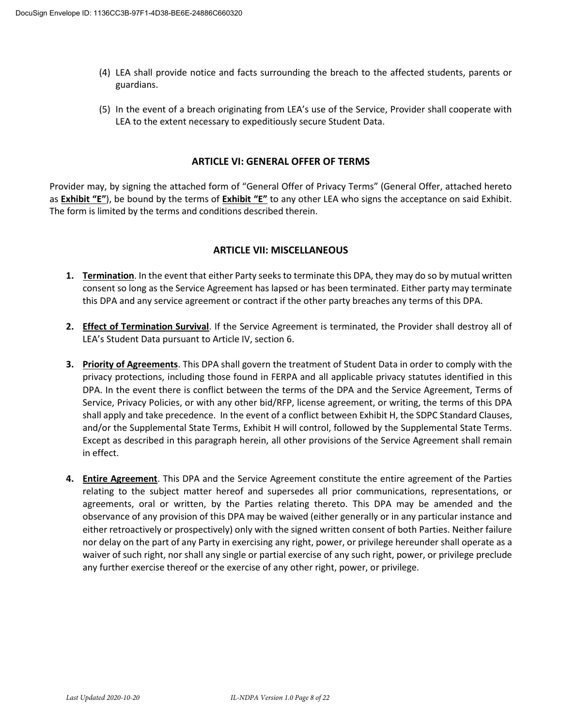- (4) LEA shall provide notice and facts surrounding the breach to the affected students, parents or guardians.
- (5) In the event of a breach originating from LEA's use of the Service, Provider shall cooperate with LEA to the extent necessary to expeditiously secure Student Data.

#### **ARTICLE VI: GENERAL OFFER OF TERMS**

Provider may, by signing the attached form of "General Offer of Privacy Terms" (General Offer, attached hereto as **Exhibit "E"**), be bound by the terms of **Exhibit "E"** to any other LEA who signs the acceptance on said Exhibit. The form is limited by the terms and conditions described therein.

#### **ARTICLE VII: MISCELLANEOUS**

- **1. Termination**. In the event that either Party seeks to terminate this DPA, they may do so by mutual written consent so long as the Service Agreement has lapsed or has been terminated. Either party may terminate this DPA and any service agreement or contract if the other party breaches any terms of this DPA.
- **2. Effect of Termination Survival**. If the Service Agreement is terminated, the Provider shall destroy all of LEA's Student Data pursuant to Article IV, section 6.
- **3. Priority of Agreements**. This DPA shall govern the treatment of Student Data in order to comply with the privacy protections, including those found in FERPA and all applicable privacy statutes identified in this DPA. In the event there is conflict between the terms of the DPA and the Service Agreement, Terms of Service, Privacy Policies, or with any other bid/RFP, license agreement, or writing, the terms of this DPA shall apply and take precedence. In the event of a conflict between Exhibit H, the SDPC Standard Clauses, and/or the Supplemental State Terms, Exhibit H will control, followed by the Supplemental State Terms. Except as described in this paragraph herein, all other provisions of the Service Agreement shall remain in effect.
- **4. Entire Agreement**. This DPA and the Service Agreement constitute the entire agreement of the Parties relating to the subject matter hereof and supersedes all prior communications, representations, or agreements, oral or written, by the Parties relating thereto. This DPA may be amended and the observance of any provision of this DPA may be waived (either generally or in any particular instance and either retroactively or prospectively) only with the signed written consent of both Parties. Neither failure nor delay on the part of any Party in exercising any right, power, or privilege hereunder shall operate as a waiver of such right, nor shall any single or partial exercise of any such right, power, or privilege preclude any further exercise thereof or the exercise of any other right, power, or privilege.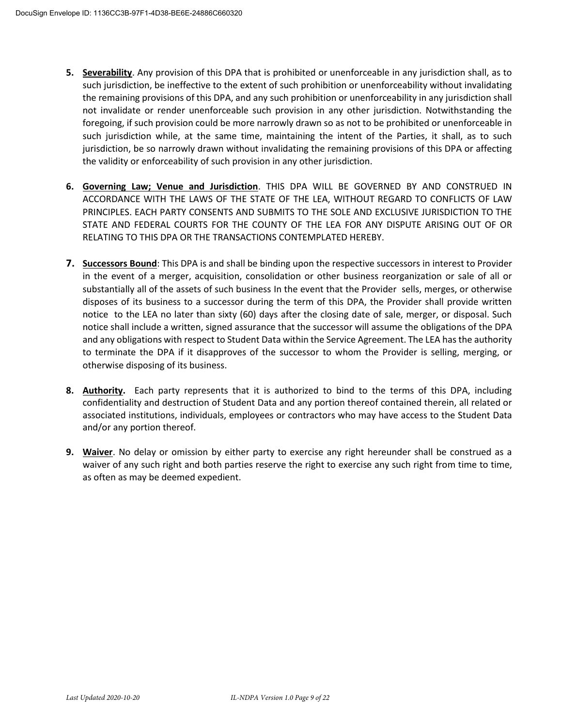- **5. Severability**. Any provision of this DPA that is prohibited or unenforceable in any jurisdiction shall, as to such jurisdiction, be ineffective to the extent of such prohibition or unenforceability without invalidating the remaining provisions of this DPA, and any such prohibition or unenforceability in any jurisdiction shall not invalidate or render unenforceable such provision in any other jurisdiction. Notwithstanding the foregoing, if such provision could be more narrowly drawn so as not to be prohibited or unenforceable in such jurisdiction while, at the same time, maintaining the intent of the Parties, it shall, as to such jurisdiction, be so narrowly drawn without invalidating the remaining provisions of this DPA or affecting the validity or enforceability of such provision in any other jurisdiction.
- **6. Governing Law; Venue and Jurisdiction**. THIS DPA WILL BE GOVERNED BY AND CONSTRUED IN ACCORDANCE WITH THE LAWS OF THE STATE OF THE LEA, WITHOUT REGARD TO CONFLICTS OF LAW PRINCIPLES. EACH PARTY CONSENTS AND SUBMITS TO THE SOLE AND EXCLUSIVE JURISDICTION TO THE STATE AND FEDERAL COURTS FOR THE COUNTY OF THE LEA FOR ANY DISPUTE ARISING OUT OF OR RELATING TO THIS DPA OR THE TRANSACTIONS CONTEMPLATED HEREBY.
- **7. Successors Bound**: This DPA is and shall be binding upon the respective successors in interest to Provider in the event of a merger, acquisition, consolidation or other business reorganization or sale of all or substantially all of the assets of such business In the event that the Provider sells, merges, or otherwise disposes of its business to a successor during the term of this DPA, the Provider shall provide written notice to the LEA no later than sixty (60) days after the closing date of sale, merger, or disposal. Such notice shall include a written, signed assurance that the successor will assume the obligations of the DPA and any obligations with respect to Student Data within the Service Agreement. The LEA has the authority to terminate the DPA if it disapproves of the successor to whom the Provider is selling, merging, or otherwise disposing of its business.
- **8. Authority.** Each party represents that it is authorized to bind to the terms of this DPA, including confidentiality and destruction of Student Data and any portion thereof contained therein, all related or associated institutions, individuals, employees or contractors who may have access to the Student Data and/or any portion thereof.
- **9. Waiver**. No delay or omission by either party to exercise any right hereunder shall be construed as a waiver of any such right and both parties reserve the right to exercise any such right from time to time, as often as may be deemed expedient.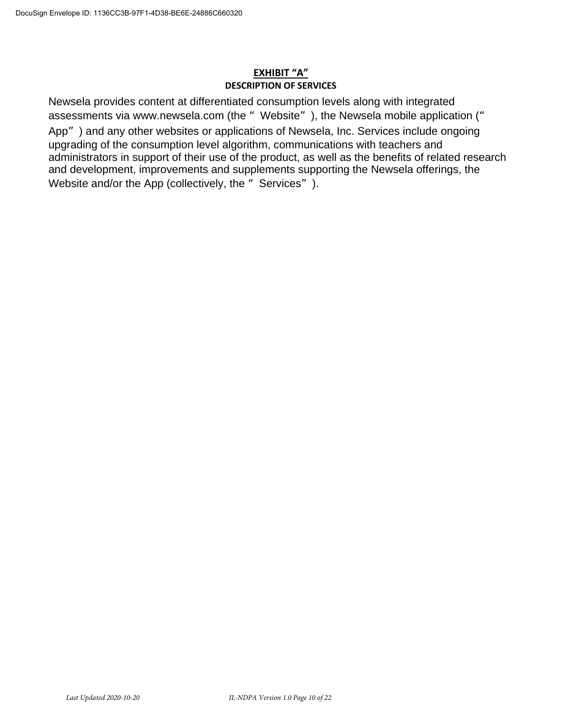### **EXHIBIT "A" DESCRIPTION OF SERVICES**

Newsela provides content at differentiated consumption levels along with integrated assessments via www.newsela.com (the " Website"), the Newsela mobile application (" App") and any other websites or applications of Newsela, Inc. Services include ongoing upgrading of the consumption level algorithm, communications with teachers and administrators in support of their use of the product, as well as the benefits of related research and development, improvements and supplements supporting the Newsela offerings, the Website and/or the App (collectively, the "Services").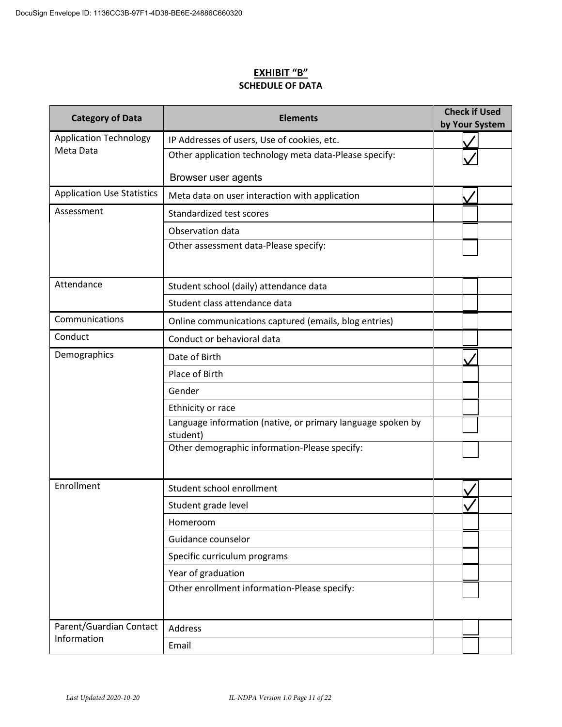# **EXHIBIT "B" SCHEDULE OF DATA**

| <b>Category of Data</b>           | <b>Elements</b>                                                         |  | <b>Check if Used</b><br>by Your System |  |
|-----------------------------------|-------------------------------------------------------------------------|--|----------------------------------------|--|
| <b>Application Technology</b>     | IP Addresses of users, Use of cookies, etc.                             |  |                                        |  |
| Meta Data                         | Other application technology meta data-Please specify:                  |  |                                        |  |
|                                   | Browser user agents                                                     |  |                                        |  |
| <b>Application Use Statistics</b> | Meta data on user interaction with application                          |  |                                        |  |
| Assessment                        | Standardized test scores                                                |  |                                        |  |
|                                   | Observation data                                                        |  |                                        |  |
|                                   | Other assessment data-Please specify:                                   |  |                                        |  |
| Attendance                        | Student school (daily) attendance data                                  |  |                                        |  |
|                                   | Student class attendance data                                           |  |                                        |  |
| Communications                    | Online communications captured (emails, blog entries)                   |  |                                        |  |
| Conduct                           | Conduct or behavioral data                                              |  |                                        |  |
| Demographics                      | Date of Birth                                                           |  |                                        |  |
|                                   | Place of Birth                                                          |  |                                        |  |
|                                   | Gender                                                                  |  |                                        |  |
|                                   | Ethnicity or race                                                       |  |                                        |  |
|                                   | Language information (native, or primary language spoken by<br>student) |  |                                        |  |
|                                   | Other demographic information-Please specify:                           |  |                                        |  |
| Enrollment                        | Student school enrollment                                               |  |                                        |  |
|                                   | Student grade level                                                     |  |                                        |  |
|                                   | Homeroom                                                                |  |                                        |  |
|                                   | Guidance counselor                                                      |  |                                        |  |
|                                   | Specific curriculum programs                                            |  |                                        |  |
|                                   | Year of graduation                                                      |  |                                        |  |
|                                   | Other enrollment information-Please specify:                            |  |                                        |  |
| Parent/Guardian Contact           | Address                                                                 |  |                                        |  |
| Information                       | Email                                                                   |  |                                        |  |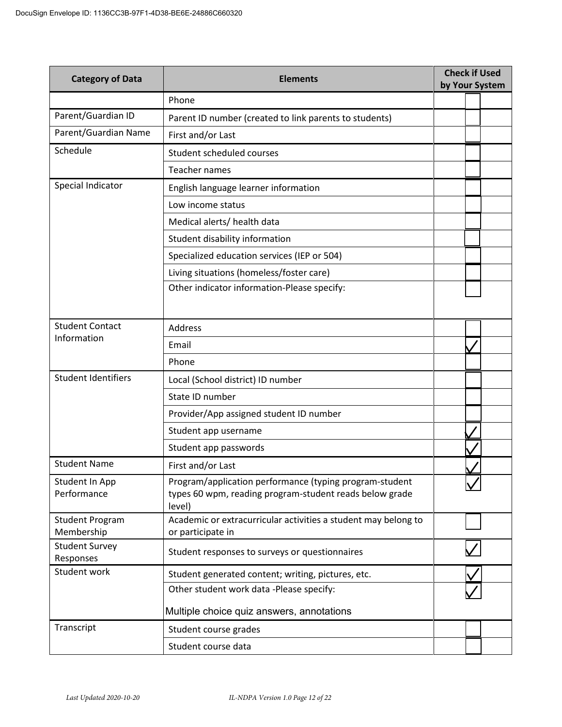| <b>Category of Data</b>              | <b>Check if Used</b><br><b>Elements</b><br>by Your System                                                                    |  |  |  |
|--------------------------------------|------------------------------------------------------------------------------------------------------------------------------|--|--|--|
|                                      | Phone                                                                                                                        |  |  |  |
| Parent/Guardian ID                   | Parent ID number (created to link parents to students)                                                                       |  |  |  |
| Parent/Guardian Name                 | First and/or Last                                                                                                            |  |  |  |
| Schedule                             | Student scheduled courses                                                                                                    |  |  |  |
|                                      | <b>Teacher names</b>                                                                                                         |  |  |  |
| Special Indicator                    | English language learner information                                                                                         |  |  |  |
|                                      | Low income status                                                                                                            |  |  |  |
|                                      | Medical alerts/ health data                                                                                                  |  |  |  |
|                                      | Student disability information                                                                                               |  |  |  |
|                                      | Specialized education services (IEP or 504)                                                                                  |  |  |  |
|                                      | Living situations (homeless/foster care)                                                                                     |  |  |  |
|                                      | Other indicator information-Please specify:                                                                                  |  |  |  |
|                                      |                                                                                                                              |  |  |  |
| <b>Student Contact</b>               | Address                                                                                                                      |  |  |  |
| Information                          | Email                                                                                                                        |  |  |  |
|                                      | Phone                                                                                                                        |  |  |  |
| <b>Student Identifiers</b>           | Local (School district) ID number                                                                                            |  |  |  |
|                                      | State ID number                                                                                                              |  |  |  |
|                                      | Provider/App assigned student ID number                                                                                      |  |  |  |
|                                      | Student app username                                                                                                         |  |  |  |
|                                      | Student app passwords                                                                                                        |  |  |  |
| <b>Student Name</b>                  | First and/or Last                                                                                                            |  |  |  |
| Student In App<br>Performance        | Program/application performance (typing program-student<br>types 60 wpm, reading program-student reads below grade<br>level) |  |  |  |
| <b>Student Program</b><br>Membership | Academic or extracurricular activities a student may belong to<br>or participate in                                          |  |  |  |
| <b>Student Survey</b><br>Responses   | Student responses to surveys or questionnaires                                                                               |  |  |  |
| Student work                         | Student generated content; writing, pictures, etc.                                                                           |  |  |  |
|                                      | Other student work data -Please specify:                                                                                     |  |  |  |
|                                      | Multiple choice quiz answers, annotations                                                                                    |  |  |  |
| Transcript                           | Student course grades                                                                                                        |  |  |  |
|                                      | Student course data                                                                                                          |  |  |  |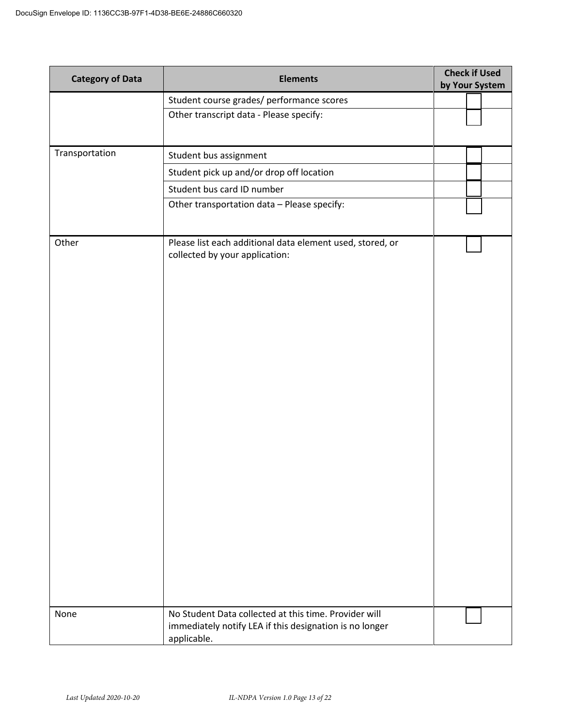| <b>Category of Data</b> | <b>Elements</b>                                                                                                                 | <b>Check if Used</b><br>by Your System |
|-------------------------|---------------------------------------------------------------------------------------------------------------------------------|----------------------------------------|
|                         | Student course grades/ performance scores                                                                                       |                                        |
|                         | Other transcript data - Please specify:                                                                                         |                                        |
|                         |                                                                                                                                 |                                        |
| Transportation          | Student bus assignment                                                                                                          |                                        |
|                         | Student pick up and/or drop off location                                                                                        |                                        |
|                         | Student bus card ID number                                                                                                      |                                        |
|                         | Other transportation data - Please specify:                                                                                     |                                        |
| Other                   | Please list each additional data element used, stored, or<br>collected by your application:                                     |                                        |
| None                    | No Student Data collected at this time. Provider will<br>immediately notify LEA if this designation is no longer<br>applicable. |                                        |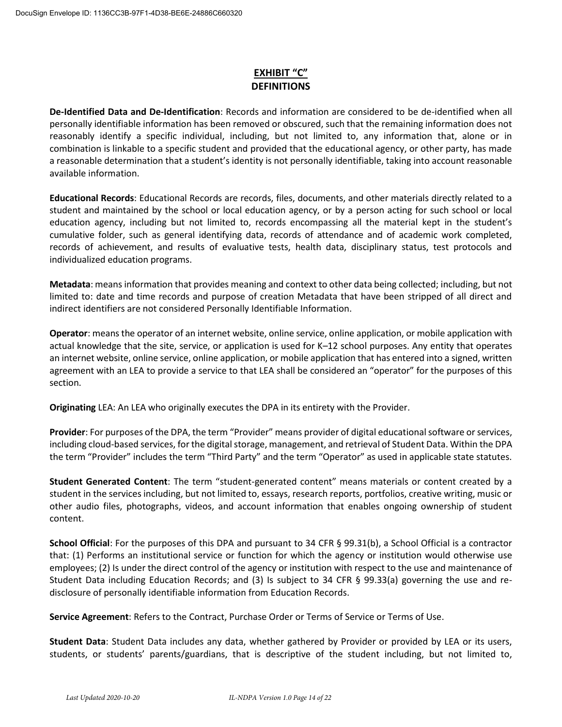# **EXHIBIT "C" DEFINITIONS**

**De-Identified Data and De-Identification**: Records and information are considered to be de-identified when all personally identifiable information has been removed or obscured, such that the remaining information does not reasonably identify a specific individual, including, but not limited to, any information that, alone or in combination is linkable to a specific student and provided that the educational agency, or other party, has made a reasonable determination that a student's identity is not personally identifiable, taking into account reasonable available information.

**Educational Records**: Educational Records are records, files, documents, and other materials directly related to a student and maintained by the school or local education agency, or by a person acting for such school or local education agency, including but not limited to, records encompassing all the material kept in the student's cumulative folder, such as general identifying data, records of attendance and of academic work completed, records of achievement, and results of evaluative tests, health data, disciplinary status, test protocols and individualized education programs.

**Metadata**: means information that provides meaning and context to other data being collected; including, but not limited to: date and time records and purpose of creation Metadata that have been stripped of all direct and indirect identifiers are not considered Personally Identifiable Information.

**Operator**: means the operator of an internet website, online service, online application, or mobile application with actual knowledge that the site, service, or application is used for K–12 school purposes. Any entity that operates an internet website, online service, online application, or mobile application that has entered into a signed, written agreement with an LEA to provide a service to that LEA shall be considered an "operator" for the purposes of this section.

**Originating** LEA: An LEA who originally executes the DPA in its entirety with the Provider.

**Provider**: For purposes of the DPA, the term "Provider" means provider of digital educational software or services, including cloud-based services, for the digital storage, management, and retrieval of Student Data. Within the DPA the term "Provider" includes the term "Third Party" and the term "Operator" as used in applicable state statutes.

**Student Generated Content**: The term "student-generated content" means materials or content created by a student in the services including, but not limited to, essays, research reports, portfolios, creative writing, music or other audio files, photographs, videos, and account information that enables ongoing ownership of student content.

**School Official**: For the purposes of this DPA and pursuant to 34 CFR § 99.31(b), a School Official is a contractor that: (1) Performs an institutional service or function for which the agency or institution would otherwise use employees; (2) Is under the direct control of the agency or institution with respect to the use and maintenance of Student Data including Education Records; and (3) Is subject to 34 CFR § 99.33(a) governing the use and redisclosure of personally identifiable information from Education Records.

**Service Agreement**: Refers to the Contract, Purchase Order or Terms of Service or Terms of Use.

**Student Data**: Student Data includes any data, whether gathered by Provider or provided by LEA or its users, students, or students' parents/guardians, that is descriptive of the student including, but not limited to,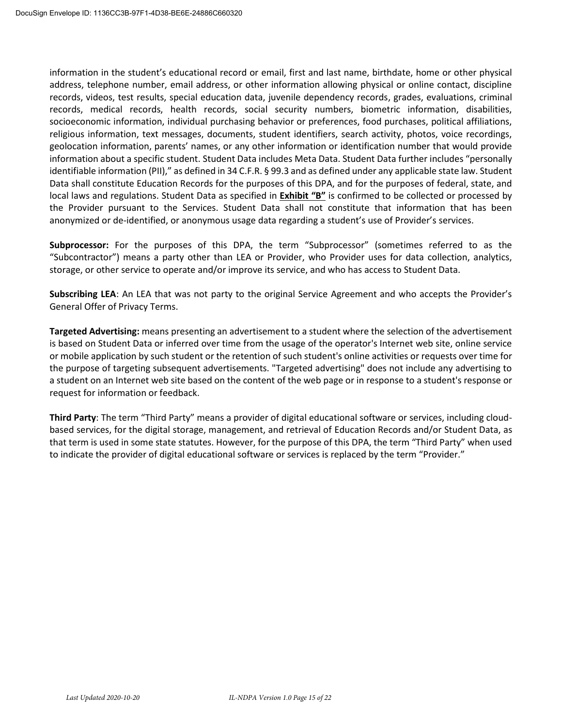information in the student's educational record or email, first and last name, birthdate, home or other physical address, telephone number, email address, or other information allowing physical or online contact, discipline records, videos, test results, special education data, juvenile dependency records, grades, evaluations, criminal records, medical records, health records, social security numbers, biometric information, disabilities, socioeconomic information, individual purchasing behavior or preferences, food purchases, political affiliations, religious information, text messages, documents, student identifiers, search activity, photos, voice recordings, geolocation information, parents' names, or any other information or identification number that would provide information about a specific student. Student Data includes Meta Data. Student Data further includes "personally identifiable information (PII)," as defined in 34 C.F.R. § 99.3 and as defined under any applicable state law. Student Data shall constitute Education Records for the purposes of this DPA, and for the purposes of federal, state, and local laws and regulations. Student Data as specified in **Exhibit "B"** is confirmed to be collected or processed by the Provider pursuant to the Services. Student Data shall not constitute that information that has been anonymized or de-identified, or anonymous usage data regarding a student's use of Provider's services.

**Subprocessor:** For the purposes of this DPA, the term "Subprocessor" (sometimes referred to as the "Subcontractor") means a party other than LEA or Provider, who Provider uses for data collection, analytics, storage, or other service to operate and/or improve its service, and who has access to Student Data.

**Subscribing LEA**: An LEA that was not party to the original Service Agreement and who accepts the Provider's General Offer of Privacy Terms.

**Targeted Advertising:** means presenting an advertisement to a student where the selection of the advertisement is based on Student Data or inferred over time from the usage of the operator's Internet web site, online service or mobile application by such student or the retention of such student's online activities or requests over time for the purpose of targeting subsequent advertisements. "Targeted advertising" does not include any advertising to a student on an Internet web site based on the content of the web page or in response to a student's response or request for information or feedback.

**Third Party**: The term "Third Party" means a provider of digital educational software or services, including cloudbased services, for the digital storage, management, and retrieval of Education Records and/or Student Data, as that term is used in some state statutes. However, for the purpose of this DPA, the term "Third Party" when used to indicate the provider of digital educational software or services is replaced by the term "Provider."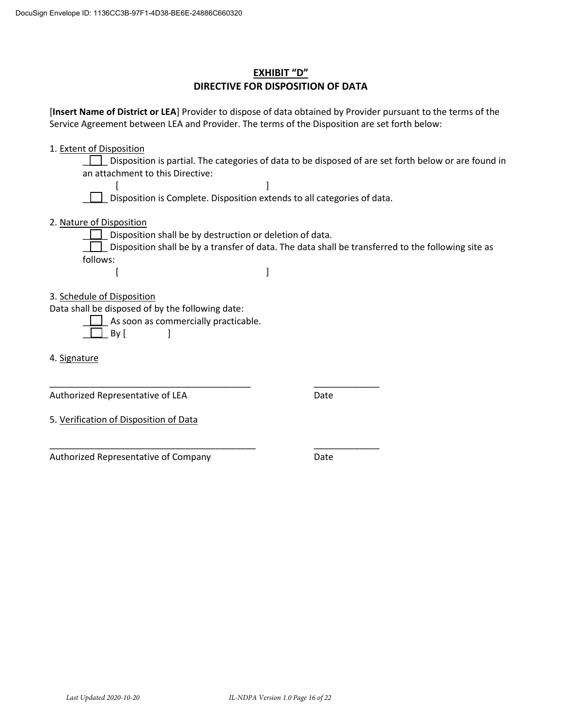# **EXHIBIT "D" DIRECTIVE FOR DISPOSITION OF DATA**

[**Insert Name of District or LEA**] Provider to dispose of data obtained by Provider pursuant to the terms of the Service Agreement between LEA and Provider. The terms of the Disposition are set forth below:

1. Extent of Disposition

\_\_\_\_\_ Disposition is partial. The categories of data to be disposed of are set forth below or are found in an attachment to this Directive:

[] Disposition is Complete. Disposition extends to all categories of data.

2. Nature of Disposition

Disposition shall be by destruction or deletion of data. Disposition shall be by a transfer of data. The data shall be transferred to the following site as follows:

- $[$
- 3. Schedule of Disposition

Data shall be disposed of by the following date:

\_\_\_\_\_\_\_\_\_\_\_\_\_\_\_\_\_\_\_\_\_\_\_\_\_\_\_\_\_\_\_\_\_\_\_\_\_\_\_\_

\_\_\_\_\_\_\_\_\_\_\_\_\_\_\_\_\_\_\_\_\_\_\_\_\_\_\_\_\_\_\_\_\_\_\_\_\_\_\_\_\_

\_\_\_\_\_ As soon as commercially practicable.

|  | Кv |  |  |
|--|----|--|--|
|--|----|--|--|

4. Signature

Authorized Representative of LEA

Date

5. Verification of Disposition of Data

Authorized Representative of Company

Date

\_\_\_\_\_\_\_\_\_\_\_\_\_

\_\_\_\_\_\_\_\_\_\_\_\_\_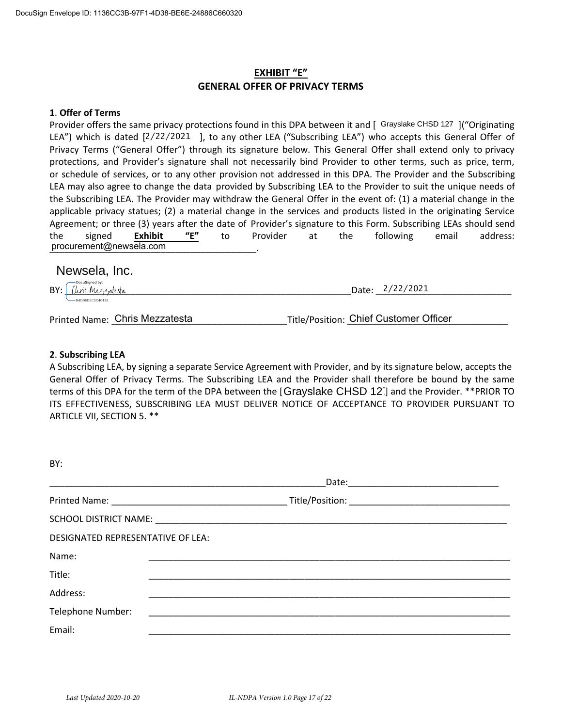# **EXHIBIT "E" GENERAL OFFER OF PRIVACY TERMS**

#### **1**. **Offer of Terms**

Provider offers the same privacy protections found in this DPA between it and [ Grayslake CHSD 127 ]("Originating LEA") which is dated [2/22/2021 ], to any other LEA ("Subscribing LEA") who accepts this General Offer of Privacy Terms ("General Offer") through its signature below. This General Offer shall extend only to privacy protections, and Provider's signature shall not necessarily bind Provider to other terms, such as price, term, or schedule of services, or to any other provision not addressed in this DPA. The Provider and the Subscribing LEA may also agree to change the data provided by Subscribing LEA to the Provider to suit the unique needs of the Subscribing LEA. The Provider may withdraw the General Offer in the event of: (1) a material change in the applicable privacy statues; (2) a material change in the services and products listed in the originating Service Agreement; or three (3) years after the date of Provider's signature to this Form. Subscribing LEAs should send the signed **Exhibit "E"** to Provider at the following email address: \_\_\_\_\_\_\_\_\_\_\_\_\_\_\_\_\_\_\_\_\_\_\_\_\_\_\_\_\_\_\_\_\_\_\_\_\_\_\_\_\_. procurement@newsela.com rovider offers the same privacy protections found in this DPA between it and [Crayslake CHSD 127<br>
Factor") which is diated [2/22/2021], to any other LEA ("Subscribing LEA") who accepts this General Offer shall extend<br>
orte

BY: \_\_\_\_\_\_\_\_\_\_\_\_\_\_\_\_\_\_\_\_\_\_\_\_\_\_\_\_\_\_\_\_\_\_\_\_\_\_\_\_\_\_\_\_\_\_\_\_\_\_\_\_\_\_\_\_\_Date: \_\_\_\_\_\_\_\_\_\_\_\_\_\_\_\_\_\_\_\_\_\_\_\_\_\_\_ 2/22/2021

Printed Name: \_\_\_\_\_\_\_\_\_\_\_\_\_\_\_\_\_\_\_\_\_\_\_\_\_\_\_\_\_\_\_\_\_\_\_Title/Position: \_\_\_\_\_\_\_\_\_\_\_\_\_\_\_\_\_\_\_\_\_\_\_\_\_\_\_\_\_\_\_\_ Chris Mezzatesta Chief Customer Officer

#### **2**. **Subscribing LEA**

A Subscribing LEA, by signing a separate Service Agreement with Provider, and by its signature below, accepts the General Offer of Privacy Terms. The Subscribing LEA and the Provider shall therefore be bound by the same terms of this DPA for the term of the DPA between the [Grayslake CHSD 12] and the Provider. \*\*PRIOR TO ITS EFFECTIVENESS, SUBSCRIBING LEA MUST DELIVER NOTICE OF ACCEPTANCE TO PROVIDER PURSUANT TO ARTICLE VII, SECTION 5. \*\*

| BY:                               |  |  |  |  |
|-----------------------------------|--|--|--|--|
|                                   |  |  |  |  |
|                                   |  |  |  |  |
|                                   |  |  |  |  |
| DESIGNATED REPRESENTATIVE OF LEA: |  |  |  |  |
| Name:                             |  |  |  |  |
| Title:                            |  |  |  |  |
| Address:                          |  |  |  |  |
| Telephone Number:                 |  |  |  |  |
| Email:                            |  |  |  |  |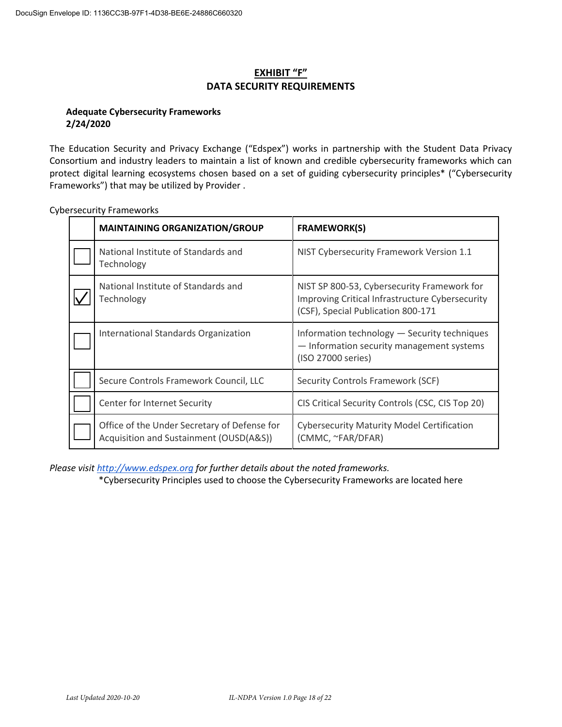# **EXHIBIT "F" DATA SECURITY REQUIREMENTS**

### **Adequate Cybersecurity Frameworks 2/24/2020**

The Education Security and Privacy Exchange ("Edspex") works in partnership with the Student Data Privacy Consortium and industry leaders to maintain a list of known and credible cybersecurity frameworks which can protect digital learning ecosystems chosen based on a set of guiding cybersecurity principles\* ("Cybersecurity Frameworks") that may be utilized by Provider .

| <b>MAINTAINING ORGANIZATION/GROUP</b>                                                   | <b>FRAMEWORK(S)</b>                                                                                                                  |
|-----------------------------------------------------------------------------------------|--------------------------------------------------------------------------------------------------------------------------------------|
| National Institute of Standards and<br>Technology                                       | NIST Cybersecurity Framework Version 1.1                                                                                             |
| National Institute of Standards and<br>Technology                                       | NIST SP 800-53, Cybersecurity Framework for<br>Improving Critical Infrastructure Cybersecurity<br>(CSF), Special Publication 800-171 |
| International Standards Organization                                                    | Information technology - Security techniques<br>- Information security management systems<br>(ISO 27000 series)                      |
| Secure Controls Framework Council, LLC                                                  | Security Controls Framework (SCF)                                                                                                    |
| Center for Internet Security                                                            | CIS Critical Security Controls (CSC, CIS Top 20)                                                                                     |
| Office of the Under Secretary of Defense for<br>Acquisition and Sustainment (OUSD(A&S)) | <b>Cybersecurity Maturity Model Certification</b><br>(CMMC, ~FAR/DFAR)                                                               |

Cybersecurity Frameworks

*Please visit http://www.edspex.org for further details about the noted frameworks.*

\*Cybersecurity Principles used to choose the Cybersecurity Frameworks are located here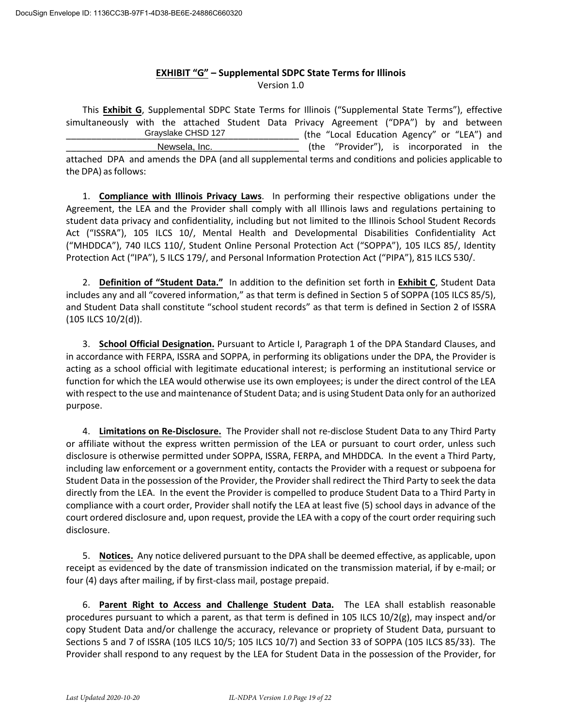### **EXHIBIT "G" – Supplemental SDPC State Terms for Illinois** Version 1.0

This **Exhibit G**, Supplemental SDPC State Terms for Illinois ("Supplemental State Terms"), effective simultaneously with the attached Student Data Privacy Agreement ("DPA") by and between (the "Local Education Agency" or "LEA") and (the "Provider"), is incorporated in the attached DPA and amends the DPA (and all supplemental terms and conditions and policies applicable to the DPA) as follows: Grayslake CHSD 127 Newsela, Inc.

1. **Compliance with Illinois Privacy Laws**. In performing their respective obligations under the Agreement, the LEA and the Provider shall comply with all Illinois laws and regulations pertaining to student data privacy and confidentiality, including but not limited to the Illinois School Student Records Act ("ISSRA"), 105 ILCS 10/, Mental Health and Developmental Disabilities Confidentiality Act ("MHDDCA"), 740 ILCS 110/, Student Online Personal Protection Act ("SOPPA"), 105 ILCS 85/, Identity Protection Act ("IPA"), 5 ILCS 179/, and Personal Information Protection Act ("PIPA"), 815 ILCS 530/.

2. **Definition of "Student Data."** In addition to the definition set forth in **Exhibit C**, Student Data includes any and all "covered information," as that term is defined in Section 5 of SOPPA (105 ILCS 85/5), and Student Data shall constitute "school student records" as that term is defined in Section 2 of ISSRA (105 ILCS 10/2(d)).

3. **School Official Designation.** Pursuant to Article I, Paragraph 1 of the DPA Standard Clauses, and in accordance with FERPA, ISSRA and SOPPA, in performing its obligations under the DPA, the Provider is acting as a school official with legitimate educational interest; is performing an institutional service or function for which the LEA would otherwise use its own employees; is under the direct control of the LEA with respect to the use and maintenance of Student Data; and is using Student Data only for an authorized purpose.

4. **Limitations on Re-Disclosure.** The Provider shall not re-disclose Student Data to any Third Party or affiliate without the express written permission of the LEA or pursuant to court order, unless such disclosure is otherwise permitted under SOPPA, ISSRA, FERPA, and MHDDCA. In the event a Third Party, including law enforcement or a government entity, contacts the Provider with a request or subpoena for Student Data in the possession of the Provider, the Provider shall redirect the Third Party to seek the data directly from the LEA. In the event the Provider is compelled to produce Student Data to a Third Party in compliance with a court order, Provider shall notify the LEA at least five (5) school days in advance of the court ordered disclosure and, upon request, provide the LEA with a copy of the court order requiring such disclosure.

5. **Notices.** Any notice delivered pursuant to the DPA shall be deemed effective, as applicable, upon receipt as evidenced by the date of transmission indicated on the transmission material, if by e-mail; or four (4) days after mailing, if by first-class mail, postage prepaid.

6. **Parent Right to Access and Challenge Student Data.** The LEA shall establish reasonable procedures pursuant to which a parent, as that term is defined in 105 ILCS 10/2(g), may inspect and/or copy Student Data and/or challenge the accuracy, relevance or propriety of Student Data, pursuant to Sections 5 and 7 of ISSRA (105 ILCS 10/5; 105 ILCS 10/7) and Section 33 of SOPPA (105 ILCS 85/33). The Provider shall respond to any request by the LEA for Student Data in the possession of the Provider, for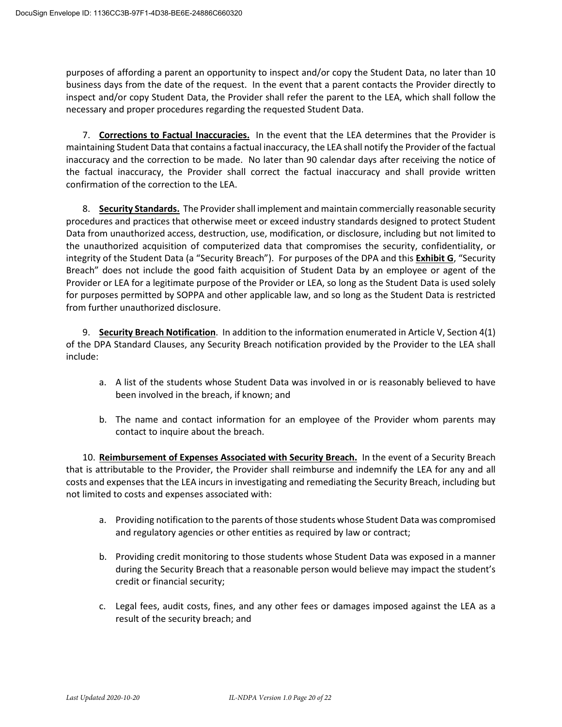purposes of affording a parent an opportunity to inspect and/or copy the Student Data, no later than 10 business days from the date of the request. In the event that a parent contacts the Provider directly to inspect and/or copy Student Data, the Provider shall refer the parent to the LEA, which shall follow the necessary and proper procedures regarding the requested Student Data.

7. **Corrections to Factual Inaccuracies.** In the event that the LEA determines that the Provider is maintaining Student Data that contains a factual inaccuracy, the LEA shall notify the Provider of the factual inaccuracy and the correction to be made. No later than 90 calendar days after receiving the notice of the factual inaccuracy, the Provider shall correct the factual inaccuracy and shall provide written confirmation of the correction to the LEA.

8. **Security Standards.** The Provider shall implement and maintain commercially reasonable security procedures and practices that otherwise meet or exceed industry standards designed to protect Student Data from unauthorized access, destruction, use, modification, or disclosure, including but not limited to the unauthorized acquisition of computerized data that compromises the security, confidentiality, or integrity of the Student Data (a "Security Breach"). For purposes of the DPA and this **Exhibit G**, "Security Breach" does not include the good faith acquisition of Student Data by an employee or agent of the Provider or LEA for a legitimate purpose of the Provider or LEA, so long as the Student Data is used solely for purposes permitted by SOPPA and other applicable law, and so long as the Student Data is restricted from further unauthorized disclosure.

9. **Security Breach Notification**. In addition to the information enumerated in Article V, Section 4(1) of the DPA Standard Clauses, any Security Breach notification provided by the Provider to the LEA shall include:

- a. A list of the students whose Student Data was involved in or is reasonably believed to have been involved in the breach, if known; and
- b. The name and contact information for an employee of the Provider whom parents may contact to inquire about the breach.

10. **Reimbursement of Expenses Associated with Security Breach.** In the event of a Security Breach that is attributable to the Provider, the Provider shall reimburse and indemnify the LEA for any and all costs and expenses that the LEA incurs in investigating and remediating the Security Breach, including but not limited to costs and expenses associated with:

- a. Providing notification to the parents of those students whose Student Data was compromised and regulatory agencies or other entities as required by law or contract;
- b. Providing credit monitoring to those students whose Student Data was exposed in a manner during the Security Breach that a reasonable person would believe may impact the student's credit or financial security;
- c. Legal fees, audit costs, fines, and any other fees or damages imposed against the LEA as a result of the security breach; and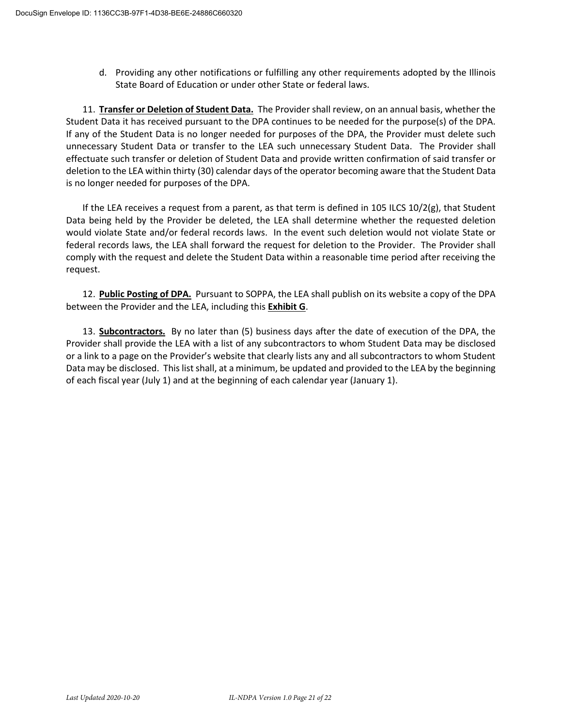d. Providing any other notifications or fulfilling any other requirements adopted by the Illinois State Board of Education or under other State or federal laws.

11. **Transfer or Deletion of Student Data.** The Provider shall review, on an annual basis, whether the Student Data it has received pursuant to the DPA continues to be needed for the purpose(s) of the DPA. If any of the Student Data is no longer needed for purposes of the DPA, the Provider must delete such unnecessary Student Data or transfer to the LEA such unnecessary Student Data. The Provider shall effectuate such transfer or deletion of Student Data and provide written confirmation of said transfer or deletion to the LEA within thirty (30) calendar days of the operator becoming aware that the Student Data is no longer needed for purposes of the DPA.

If the LEA receives a request from a parent, as that term is defined in 105 ILCS 10/2(g), that Student Data being held by the Provider be deleted, the LEA shall determine whether the requested deletion would violate State and/or federal records laws. In the event such deletion would not violate State or federal records laws, the LEA shall forward the request for deletion to the Provider. The Provider shall comply with the request and delete the Student Data within a reasonable time period after receiving the request.

12. **Public Posting of DPA.** Pursuant to SOPPA, the LEA shall publish on its website a copy of the DPA between the Provider and the LEA, including this **Exhibit G**.

13. **Subcontractors.** By no later than (5) business days after the date of execution of the DPA, the Provider shall provide the LEA with a list of any subcontractors to whom Student Data may be disclosed or a link to a page on the Provider's website that clearly lists any and all subcontractors to whom Student Data may be disclosed. This list shall, at a minimum, be updated and provided to the LEA by the beginning of each fiscal year (July 1) and at the beginning of each calendar year (January 1).